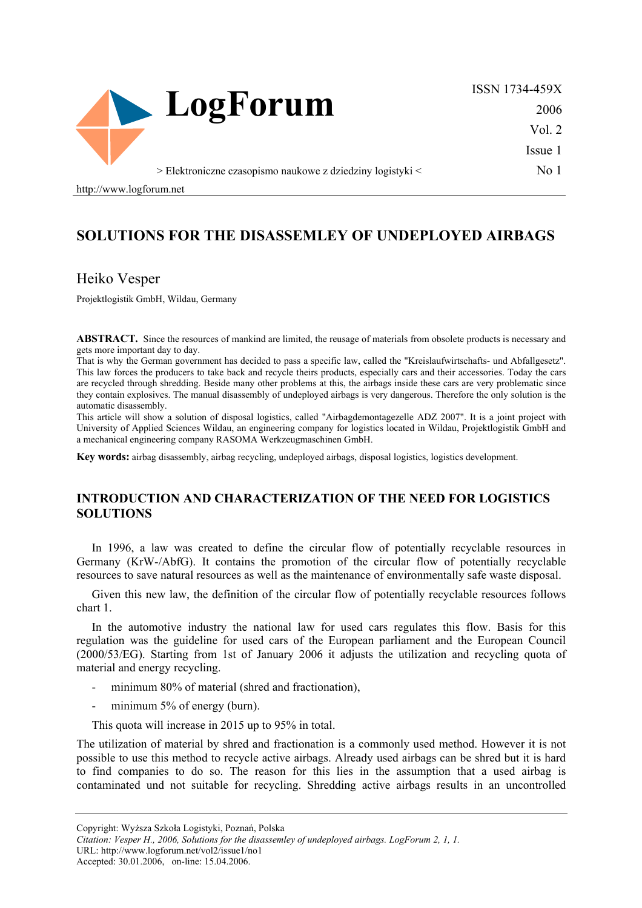

ISSN 1734-459X 2006 Vol. 2 Issue 1 No 1

> Elektroniczne czasopismo naukowe z dziedziny logistyki <

http://www.logforum.net

# **SOLUTIONS FOR THE DISASSEMLEY OF UNDEPLOYED AIRBAGS**

## Heiko Vesper

Projektlogistik GmbH, Wildau, Germany

**ABSTRACT.** Since the resources of mankind are limited, the reusage of materials from obsolete products is necessary and gets more important day to day.

That is why the German government has decided to pass a specific law, called the "Kreislaufwirtschafts- und Abfallgesetz". This law forces the producers to take back and recycle theirs products, especially cars and their accessories. Today the cars are recycled through shredding. Beside many other problems at this, the airbags inside these cars are very problematic since they contain explosives. The manual disassembly of undeployed airbags is very dangerous. Therefore the only solution is the automatic disassembly.

This article will show a solution of disposal logistics, called "Airbagdemontagezelle ADZ 2007". It is a joint project with University of Applied Sciences Wildau, an engineering company for logistics located in Wildau, Projektlogistik GmbH and a mechanical engineering company RASOMA Werkzeugmaschinen GmbH.

**Key words:** airbag disassembly, airbag recycling, undeployed airbags, disposal logistics, logistics development.

### **INTRODUCTION AND CHARACTERIZATION OF THE NEED FOR LOGISTICS SOLUTIONS**

In 1996, a law was created to define the circular flow of potentially recyclable resources in Germany (KrW-/AbfG). It contains the promotion of the circular flow of potentially recyclable resources to save natural resources as well as the maintenance of environmentally safe waste disposal.

Given this new law, the definition of the circular flow of potentially recyclable resources follows chart 1.

In the automotive industry the national law for used cars regulates this flow. Basis for this regulation was the guideline for used cars of the European parliament and the European Council (2000/53/EG). Starting from 1st of January 2006 it adjusts the utilization and recycling quota of material and energy recycling.

- minimum 80% of material (shred and fractionation),
- minimum  $5%$  of energy (burn).

This quota will increase in 2015 up to 95% in total.

The utilization of material by shred and fractionation is a commonly used method. However it is not possible to use this method to recycle active airbags. Already used airbags can be shred but it is hard to find companies to do so. The reason for this lies in the assumption that a used airbag is contaminated und not suitable for recycling. Shredding active airbags results in an uncontrolled

URL: http://www.logforum.net/vol2/issue1/no1

Accepted: 30.01.2006, on-line: 15.04.2006.

Copyright: Wyższa Szkoła Logistyki, Poznań, Polska

*Citation: Vesper H., 2006, Solutions for the disassemley of undeployed airbags. LogForum 2, 1, 1.*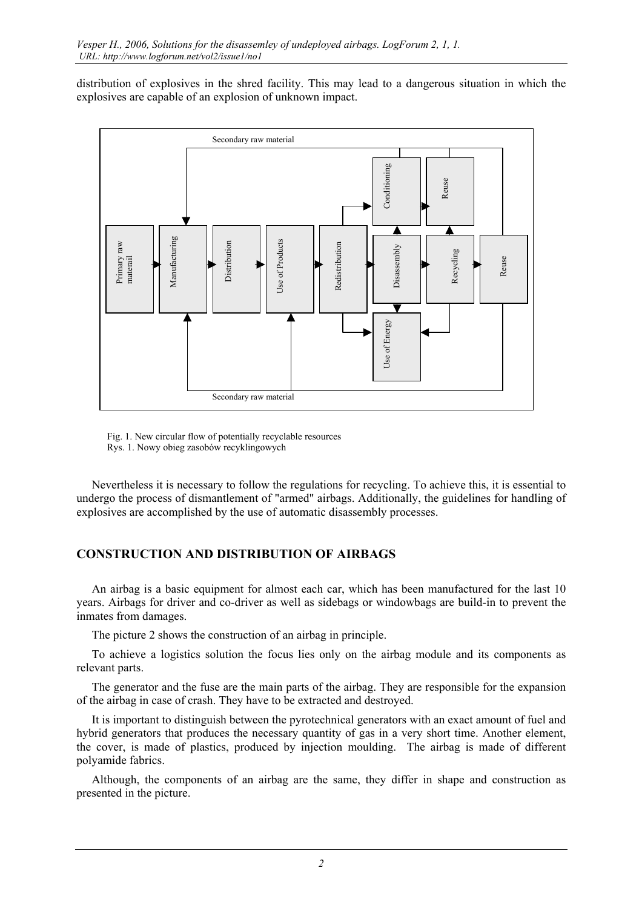distribution of explosives in the shred facility. This may lead to a dangerous situation in which the explosives are capable of an explosion of unknown impact.



Fig. 1. New circular flow of potentially recyclable resources Rys. 1. Nowy obieg zasobów recyklingowych

Nevertheless it is necessary to follow the regulations for recycling. To achieve this, it is essential to undergo the process of dismantlement of "armed" airbags. Additionally, the guidelines for handling of explosives are accomplished by the use of automatic disassembly processes.

# **CONSTRUCTION AND DISTRIBUTION OF AIRBAGS**

An airbag is a basic equipment for almost each car, which has been manufactured for the last 10 years. Airbags for driver and co-driver as well as sidebags or windowbags are build-in to prevent the inmates from damages.

The picture 2 shows the construction of an airbag in principle.

To achieve a logistics solution the focus lies only on the airbag module and its components as relevant parts.

The generator and the fuse are the main parts of the airbag. They are responsible for the expansion of the airbag in case of crash. They have to be extracted and destroyed.

It is important to distinguish between the pyrotechnical generators with an exact amount of fuel and hybrid generators that produces the necessary quantity of gas in a very short time. Another element, the cover, is made of plastics, produced by injection moulding. The airbag is made of different polyamide fabrics.

Although, the components of an airbag are the same, they differ in shape and construction as presented in the picture.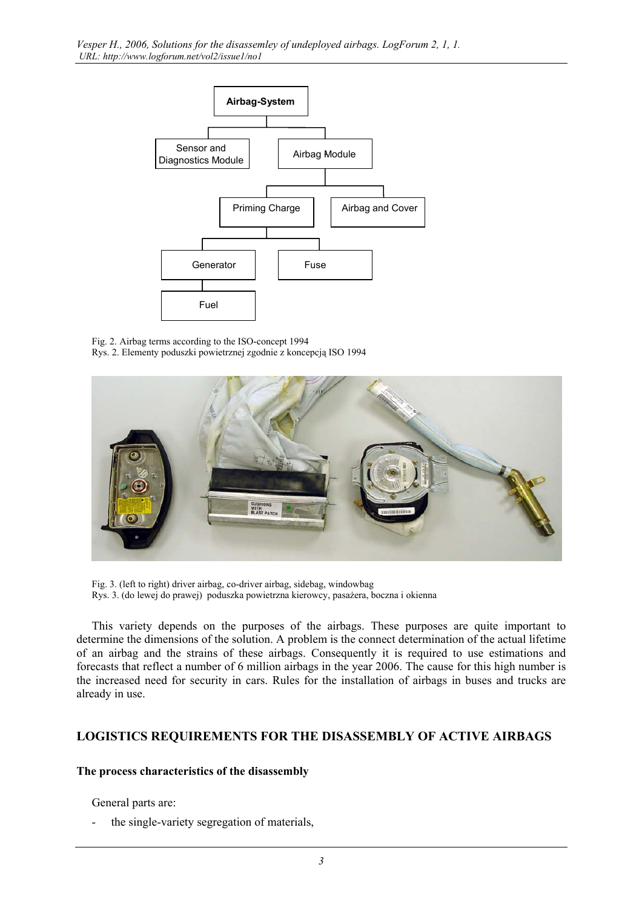

Fig. 2. Airbag terms according to the ISO-concept 1994 Rys. 2. Elementy poduszki powietrznej zgodnie z koncepcją ISO 1994



Fig. 3. (left to right) driver airbag, co-driver airbag, sidebag, windowbag Rys. 3. (do lewej do prawej) poduszka powietrzna kierowcy, pasażera, boczna i okienna

This variety depends on the purposes of the airbags. These purposes are quite important to determine the dimensions of the solution. A problem is the connect determination of the actual lifetime of an airbag and the strains of these airbags. Consequently it is required to use estimations and forecasts that reflect a number of 6 million airbags in the year 2006. The cause for this high number is the increased need for security in cars. Rules for the installation of airbags in buses and trucks are already in use.

## **LOGISTICS REQUIREMENTS FOR THE DISASSEMBLY OF ACTIVE AIRBAGS**

### **The process characteristics of the disassembly**

General parts are:

- the single-variety segregation of materials,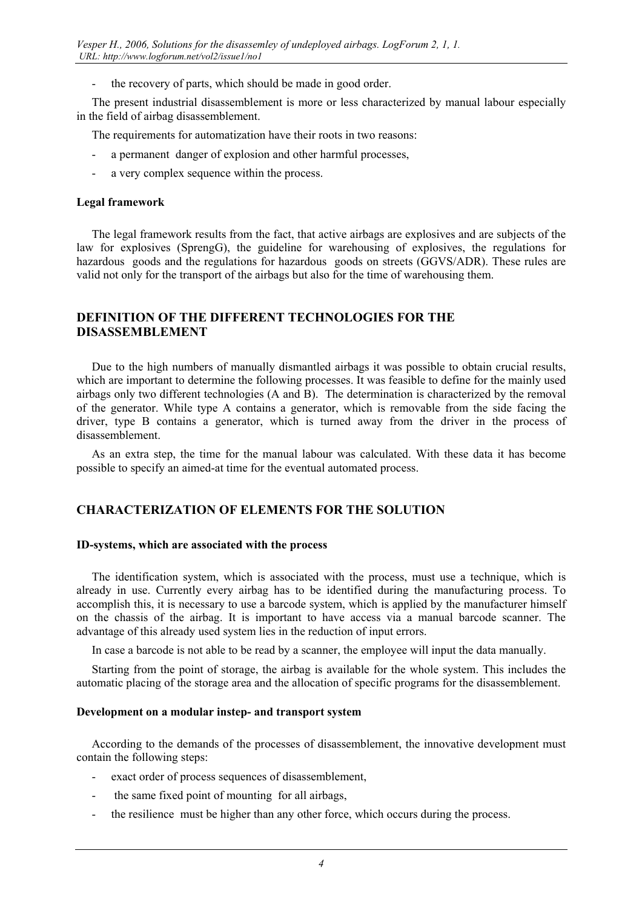the recovery of parts, which should be made in good order.

The present industrial disassemblement is more or less characterized by manual labour especially in the field of airbag disassemblement.

The requirements for automatization have their roots in two reasons:

- a permanent danger of explosion and other harmful processes,
- a very complex sequence within the process.

#### **Legal framework**

The legal framework results from the fact, that active airbags are explosives and are subjects of the law for explosives (SprengG), the guideline for warehousing of explosives, the regulations for hazardous goods and the regulations for hazardous goods on streets (GGVS/ADR). These rules are valid not only for the transport of the airbags but also for the time of warehousing them.

## **DEFINITION OF THE DIFFERENT TECHNOLOGIES FOR THE DISASSEMBLEMENT**

Due to the high numbers of manually dismantled airbags it was possible to obtain crucial results, which are important to determine the following processes. It was feasible to define for the mainly used airbags only two different technologies (A and B). The determination is characterized by the removal of the generator. While type A contains a generator, which is removable from the side facing the driver, type B contains a generator, which is turned away from the driver in the process of disassemblement.

As an extra step, the time for the manual labour was calculated. With these data it has become possible to specify an aimed-at time for the eventual automated process.

## **CHARACTERIZATION OF ELEMENTS FOR THE SOLUTION**

#### **ID-systems, which are associated with the process**

The identification system, which is associated with the process, must use a technique, which is already in use. Currently every airbag has to be identified during the manufacturing process. To accomplish this, it is necessary to use a barcode system, which is applied by the manufacturer himself on the chassis of the airbag. It is important to have access via a manual barcode scanner. The advantage of this already used system lies in the reduction of input errors.

In case a barcode is not able to be read by a scanner, the employee will input the data manually.

Starting from the point of storage, the airbag is available for the whole system. This includes the automatic placing of the storage area and the allocation of specific programs for the disassemblement.

#### **Development on a modular instep- and transport system**

According to the demands of the processes of disassemblement, the innovative development must contain the following steps:

- exact order of process sequences of disassemblement,
- the same fixed point of mounting for all airbags,
- the resilience must be higher than any other force, which occurs during the process.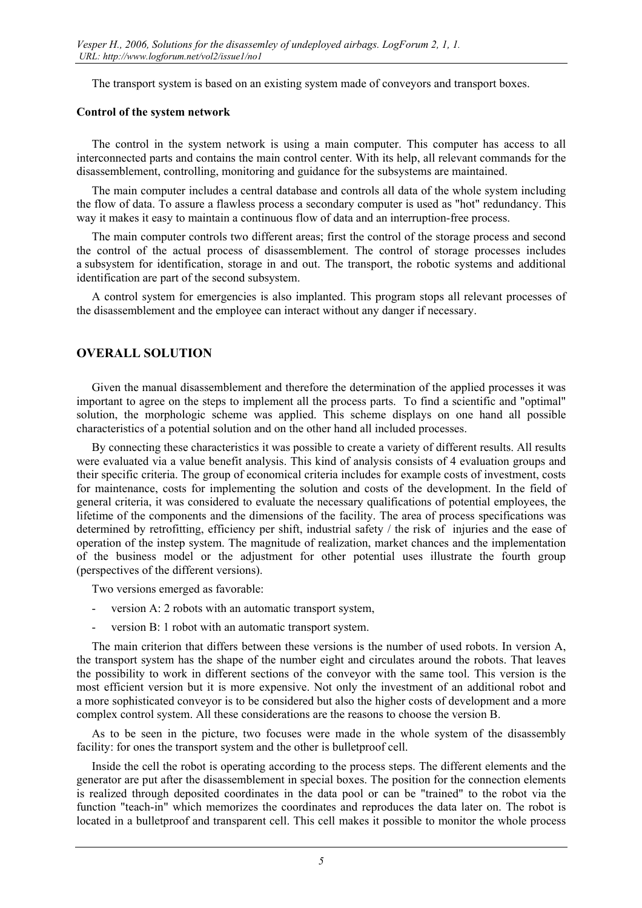The transport system is based on an existing system made of conveyors and transport boxes.

#### **Control of the system network**

The control in the system network is using a main computer. This computer has access to all interconnected parts and contains the main control center. With its help, all relevant commands for the disassemblement, controlling, monitoring and guidance for the subsystems are maintained.

The main computer includes a central database and controls all data of the whole system including the flow of data. To assure a flawless process a secondary computer is used as "hot" redundancy. This way it makes it easy to maintain a continuous flow of data and an interruption-free process.

The main computer controls two different areas; first the control of the storage process and second the control of the actual process of disassemblement. The control of storage processes includes a subsystem for identification, storage in and out. The transport, the robotic systems and additional identification are part of the second subsystem.

A control system for emergencies is also implanted. This program stops all relevant processes of the disassemblement and the employee can interact without any danger if necessary.

### **OVERALL SOLUTION**

Given the manual disassemblement and therefore the determination of the applied processes it was important to agree on the steps to implement all the process parts. To find a scientific and "optimal" solution, the morphologic scheme was applied. This scheme displays on one hand all possible characteristics of a potential solution and on the other hand all included processes.

By connecting these characteristics it was possible to create a variety of different results. All results were evaluated via a value benefit analysis. This kind of analysis consists of 4 evaluation groups and their specific criteria. The group of economical criteria includes for example costs of investment, costs for maintenance, costs for implementing the solution and costs of the development. In the field of general criteria, it was considered to evaluate the necessary qualifications of potential employees, the lifetime of the components and the dimensions of the facility. The area of process specifications was determined by retrofitting, efficiency per shift, industrial safety / the risk of injuries and the ease of operation of the instep system. The magnitude of realization, market chances and the implementation of the business model or the adjustment for other potential uses illustrate the fourth group (perspectives of the different versions).

Two versions emerged as favorable:

- version A: 2 robots with an automatic transport system,
- version B: 1 robot with an automatic transport system.

The main criterion that differs between these versions is the number of used robots. In version A, the transport system has the shape of the number eight and circulates around the robots. That leaves the possibility to work in different sections of the conveyor with the same tool. This version is the most efficient version but it is more expensive. Not only the investment of an additional robot and a more sophisticated conveyor is to be considered but also the higher costs of development and a more complex control system. All these considerations are the reasons to choose the version B.

As to be seen in the picture, two focuses were made in the whole system of the disassembly facility: for ones the transport system and the other is bulletproof cell.

Inside the cell the robot is operating according to the process steps. The different elements and the generator are put after the disassemblement in special boxes. The position for the connection elements is realized through deposited coordinates in the data pool or can be "trained" to the robot via the function "teach-in" which memorizes the coordinates and reproduces the data later on. The robot is located in a bulletproof and transparent cell. This cell makes it possible to monitor the whole process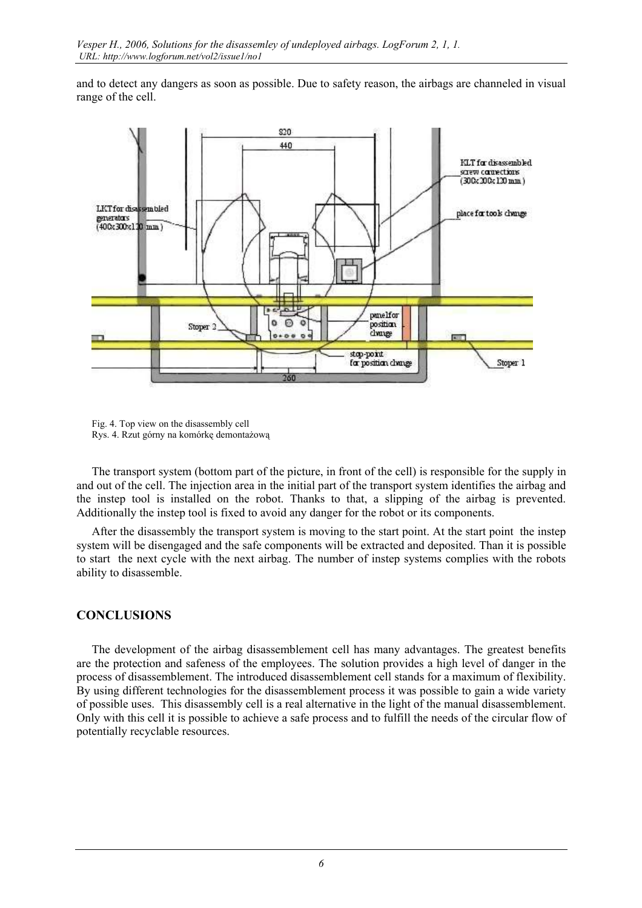and to detect any dangers as soon as possible. Due to safety reason, the airbags are channeled in visual range of the cell.



Fig. 4. Top view on the disassembly cell Rys. 4. Rzut górny na komórkę demontażową

The transport system (bottom part of the picture, in front of the cell) is responsible for the supply in and out of the cell. The injection area in the initial part of the transport system identifies the airbag and the instep tool is installed on the robot. Thanks to that, a slipping of the airbag is prevented. Additionally the instep tool is fixed to avoid any danger for the robot or its components.

After the disassembly the transport system is moving to the start point. At the start point the instep system will be disengaged and the safe components will be extracted and deposited. Than it is possible to start the next cycle with the next airbag. The number of instep systems complies with the robots ability to disassemble.

## **CONCLUSIONS**

The development of the airbag disassemblement cell has many advantages. The greatest benefits are the protection and safeness of the employees. The solution provides a high level of danger in the process of disassemblement. The introduced disassemblement cell stands for a maximum of flexibility. By using different technologies for the disassemblement process it was possible to gain a wide variety of possible uses. This disassembly cell is a real alternative in the light of the manual disassemblement. Only with this cell it is possible to achieve a safe process and to fulfill the needs of the circular flow of potentially recyclable resources.